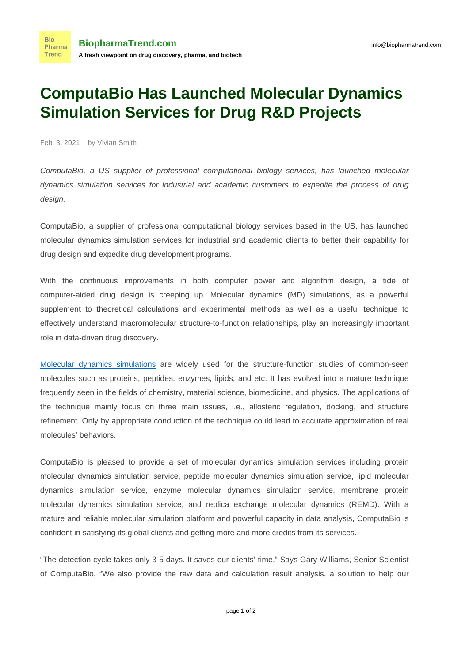## **ComputaBio Has Launched Molecular Dynamics Simulation Services for Drug R&D Projects**

Feb. 3, 2021 by Vivian Smith

**Bio** 

ComputaBio, a US supplier of professional computational biology services, has launched molecular dynamics simulation services for industrial and academic customers to expedite the process of [drug](http://www.computabio.com/drug-design-services.html) [design](http://www.computabio.com/drug-design-services.html).

ComputaBio, a supplier of professional computational biology services based in the US, has launched molecular dynamics simulation services for industrial and academic clients to better their capability for drug design and expedite drug development programs.

With the continuous improvements in both computer power and algorithm design, a tide of computer-aided drug design is creeping up. Molecular dynamics (MD) simulations, as a powerful supplement to theoretical calculations and experimental methods as well as a useful technique to effectively understand macromolecular structure-to-function relationships, play an increasingly important role in data-driven drug discovery.

[Molecular dynamics simulations](https://www.computabio.com/molecular-dynamics-simulation-service.html) are widely used for the structure-function studies of common-seen molecules such as proteins, peptides, enzymes, lipids, and etc. It has evolved into a mature technique frequently seen in the fields of chemistry, material science, biomedicine, and physics. The applications of the technique mainly focus on three main issues, i.e., allosteric regulation, docking, and structure refinement. Only by appropriate conduction of the technique could lead to accurate approximation of real molecules' behaviors.

ComputaBio is pleased to provide a set of molecular dynamics simulation services including protein molecular dynamics simulation service, peptide molecular dynamics simulation service, lipid molecular dynamics simulation service, enzyme molecular dynamics simulation service, membrane protein molecular dynamics simulation service, and replica exchange molecular dynamics (REMD). With a mature and reliable molecular simulation platform and powerful capacity in data analysis, ComputaBio is confident in satisfying its global clients and getting more and more credits from its services.

"The detection cycle takes only 3-5 days. It saves our clients' time." Says Gary Williams, Senior Scientist of ComputaBio, "We also provide the raw data and calculation result analysis, a solution to help our